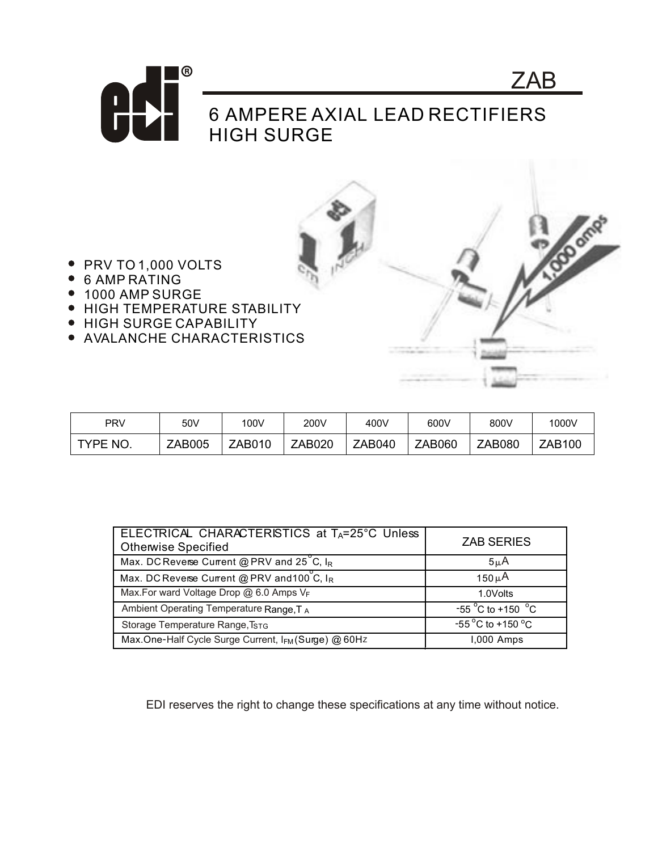

**BOOM** 

- PRV TO 1,000 VOLTS
- 6 AMP RATING
- 1000 AMP SURGE
- **HIGH TEMPERATURE STABILITY**
- HIGH SURGE CAPABILITY
- AVALANCHE CHARACTERISTICS

| <b>PRV</b> | 50V           | 100V          | 200V   | 400V          | 600V          | 800V          | 1000V  |
|------------|---------------|---------------|--------|---------------|---------------|---------------|--------|
| TYPE NO.   | <b>ZAB005</b> | <b>ZAB010</b> | ZAB020 | <b>ZAB040</b> | <b>ZAB060</b> | <b>ZAB080</b> | ZAB100 |

| ELECTRICAL CHARACTERISTICS at TA=25°C Unless<br><b>Otherwise Specified</b> | <b>ZAB SERIES</b>                    |  |  |
|----------------------------------------------------------------------------|--------------------------------------|--|--|
| Max. DC Reverse Current @ PRV and $25^{\circ}$ C, I <sub>R</sub>           | $5\mu$ A                             |  |  |
| Max. DC Reverse Current @ PRV and 100 C, IR                                | 150 $\mu$ A                          |  |  |
| Max.For ward Voltage Drop @ 6.0 Amps VF                                    | 1.0Volts                             |  |  |
| Ambient Operating Temperature Range, TA                                    | $-55^{\circ}$ C to +150 $^{\circ}$ C |  |  |
| Storage Temperature Range, TSTG                                            | $-55^{\circ}$ C to +150 °C           |  |  |
| Max.One-Half Cycle Surge Current, IFM (Surge) @ 60Hz                       | 1,000 Amps                           |  |  |

EDI reserves the right to change these specifications at any time without notice.